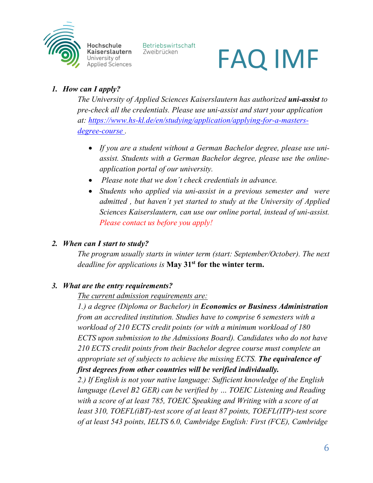

Hochschule Kaiserslautern University of **Applied Sciences** 

Betriebswirtschaft Zweibrücken

# FAQ IMF

## *1. How can I apply?*

*The University of Applied Sciences Kaiserslautern has authorized uni-assist to pre-check all the credentials. Please use uni-assist and start your application at: [https://www.hs-kl.de/en/studying/application/applying-for-a-masters](https://www.hs-kl.de/en/studying/application/applying-for-a-masters-degree-course)[degree-course](https://www.hs-kl.de/en/studying/application/applying-for-a-masters-degree-course) .*

- *If you are a student without a German Bachelor degree, please use uniassist. Students with a German Bachelor degree, please use the onlineapplication portal of our university.*
- *Please note that we don´t check credentials in advance.*
- *Students who applied via uni-assist in a previous semester and were admitted , but haven´t yet started to study at the University of Applied Sciences Kaiserslautern, can use our online portal, instead of uni-assist. Please contact us before you apply!*

### *2. When can I start to study?*

*The program usually starts in winter term (start: September/October). The next deadline for applications is* **May 31st for the winter term.**

## *3. What are the entry requirements?*

*The current admission requirements are:*

*1.) a degree (Diploma or Bachelor) in Economics or Business Administration from an accredited institution. Studies have to comprise 6 semesters with a workload of 210 ECTS credit points (or with a minimum workload of 180 ECTS upon submission to the Admissions Board). Candidates who do not have 210 ECTS credit points from their Bachelor degree course must complete an appropriate set of subjects to achieve the missing ECTS. The equivalence of first degrees from other countries will be verified individually.*

*2.) If English is not your native language: Sufficient knowledge of the English language (Level B2 GER) can be verified by … TOEIC Listening and Reading with a score of at least 785, TOEIC Speaking and Writing with a score of at least 310, TOEFL(iBT)-test score of at least 87 points, TOEFL(ITP)-test score of at least 543 points, IELTS 6.0, Cambridge English: First (FCE), Cambridge*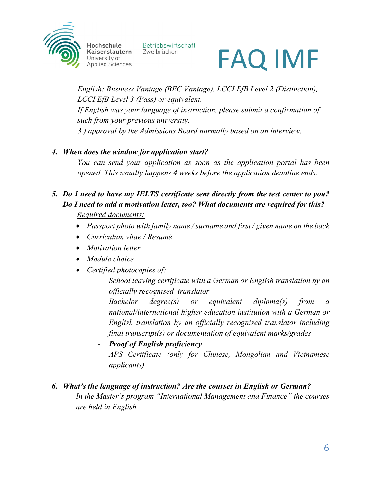

Hochschule Kaiserslautern University of **Applied Sciences**  Betriebswirtschaft Zweibrücken



*English: Business Vantage (BEC Vantage), LCCI EfB Level 2 (Distinction), LCCI EfB Level 3 (Pass) or equivalent. If English was your language of instruction, please submit a confirmation of such from your previous university. 3.) approval by the Admissions Board normally based on an interview.*

### *4. When does the window for application start?*

*You can send your application as soon as the application portal has been opened. This usually happens 4 weeks before the application deadline ends*.

### *5. Do I need to have my IELTS certificate sent directly from the test center to you? Do I need to add a motivation letter, too? What documents are required for this? Required documents:*

- *Passport photo with family name / surname and first / given name on the back*
- *Curriculum vitae / Resumé*
- *Motivation letter*
- *Module choice*
- *Certified photocopies of:*
	- *School leaving certificate with a German or English translation by an officially recognised translator*
	- *Bachelor degree(s) or equivalent diploma(s) from a national/international higher education institution with a German or English translation by an officially recognised translator including final transcript(s) or documentation of equivalent marks/grades*
	- *Proof of English proficiency*
	- *APS Certificate (only for Chinese, Mongolian and Vietnamese applicants)*

## *6. What's the language of instruction? Are the courses in English or German?*

*In the Master´s program "International Management and Finance" the courses are held in English.*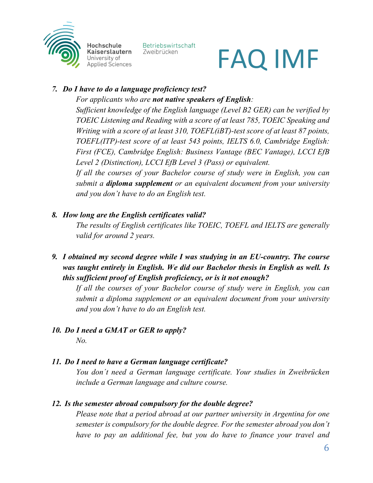

Hochschule Kaiserslautern Jniversity of **Applied Sciences**  Betriebswirtschaft Zweibrücken

# FAQ IMF

### *7. Do I have to do a language proficiency test?*

*For applicants who are not native speakers of English:* 

*Sufficient knowledge of the English language (Level B2 GER) can be verified by TOEIC Listening and Reading with a score of at least 785, TOEIC Speaking and Writing with a score of at least 310, TOEFL(iBT)-test score of at least 87 points, TOEFL(ITP)-test score of at least 543 points, IELTS 6.0, Cambridge English: First (FCE), Cambridge English: Business Vantage (BEC Vantage), LCCI EfB Level 2 (Distinction), LCCI EfB Level 3 (Pass) or equivalent.*

*If all the courses of your Bachelor course of study were in English, you can submit a diploma supplement or an equivalent document from your university and you don't have to do an English test.* 

### *8. How long are the English certificates valid?*

*The results of English certificates like TOEIC, TOEFL and IELTS are generally valid for around 2 years.* 

*9. I obtained my second degree while I was studying in an EU-country. The course was taught entirely in English. We did our Bachelor thesis in English as well. Is this sufficient proof of English proficiency, or is it not enough?*

*If all the courses of your Bachelor course of study were in English, you can submit a diploma supplement or an equivalent document from your university and you don't have to do an English test.*

#### *10. Do I need a GMAT or GER to apply? No.*

### *11. Do I need to have a German language certificate?*

*You don´t need a German language certificate. Your studies in Zweibrücken include a German language and culture course.*

### *12. Is the semester abroad compulsory for the double degree?*

*Please note that a period abroad at our partner university in Argentina for one semester is compulsory for the double degree. For the semester abroad you don't have to pay an additional fee, but you do have to finance your travel and*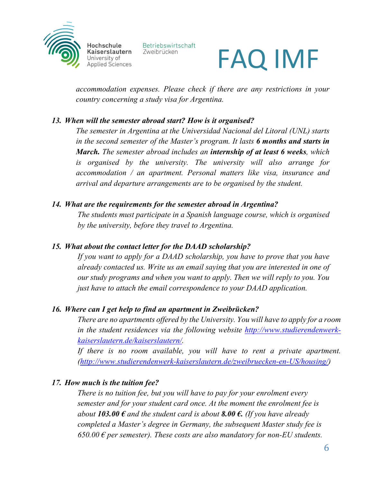

Hochschule Kaiserslautern Jniversity of **Applied Sciences**  Betriebswirtschaft Zweibrücken

# FAQ IMF

*accommodation expenses. Please check if there are any restrictions in your country concerning a study visa for Argentina.*

### *13. When will the semester abroad start? How is it organised?*

*The semester in Argentina at the Universidad Nacional del Litoral (UNL) starts in the second semester of the Master's program. It lasts 6 months and starts in March. The semester abroad includes an internship of at least 6 weeks, which is organised by the university. The university will also arrange for accommodation / an apartment. Personal matters like visa, insurance and arrival and departure arrangements are to be organised by the student.*

### *14. What are the requirements for the semester abroad in Argentina?*

*The students must participate in a Spanish language course, which is organised by the university, before they travel to Argentina.*

### *15. What about the contact letter for the DAAD scholarship?*

*If you want to apply for a DAAD scholarship, you have to prove that you have already contacted us. Write us an email saying that you are interested in one of our study programs and when you want to apply. Then we will reply to you. You just have to attach the email correspondence to your DAAD application.* 

### *16. Where can I get help to find an apartment in Zweibrücken?*

*There are no apartments offered by the University. You will have to apply for a room in the student residences via the following website [http://www.studierendenwerk](about:blank)[kaiserslautern.de/kaiserslautern/.](about:blank)* 

*If there is no room available, you will have to rent a private apartment. [\(http://www.studierendenwerk-kaiserslautern.de/zweibruecken-en-US/housing/\)](about:blank)*

### *17. How much is the tuition fee?*

*There is no tuition fee, but you will have to pay for your enrolment every semester and for your student card once. At the moment the enrolment fee is about 103.00*  $\epsilon$  *and the student card is about 8.00*  $\epsilon$ . *(If you have already about 103.00*  $\epsilon$ *completed a Master's degree in Germany, the subsequent Master study fee is*   $650.00 \text{ } \epsilon$  *per semester*). These costs are also mandatory for non-EU students.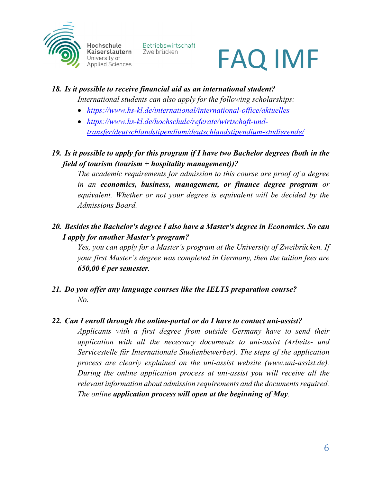

Hochschule Kaiserslautern Jniversity of **Applied Sciences** 

Betriebswirtschaft Zweibrücken

# FAQ IMF

### *18. Is it possible to receive financial aid as an international student?*

*International students can also apply for the following scholarships:*

- *<https://www.hs-kl.de/international/international-office/aktuelles>*
- *[https://www.hs-kl.de/hochschule/referate/wirtschaft-und](about:blank)[transfer/deutschlandstipendium/deutschlandstipendium-studierende/](about:blank)*

*19. Is it possible to apply for this program if I have two Bachelor degrees (both in the field of tourism (tourism + hospitality management))?*

*The academic requirements for admission to this course are proof of a degree in an economics, business, management, or finance degree program or equivalent. Whether or not your degree is equivalent will be decided by the Admissions Board.*

*20. Besides the Bachelor's degree I also have a Master's degree in Economics. So can I apply for another Master's program?* 

*Yes, you can apply for a Master´s program at the University of Zweibrücken. If your first Master's degree was completed in Germany, then the tuition fees are*   $650,00 \text{ } \in$  per semester.

*21. Do you offer any language courses like the IELTS preparation course? No.*

### *22. Can I enroll through the online-portal or do I have to contact uni-assist?*

*Applicants with a first degree from outside Germany have to send their application with all the necessary documents to uni-assist (Arbeits- und Servicestelle für Internationale Studienbewerber). The steps of the application process are clearly explained on the uni-assist website (www.uni-assist.de). During the online application process at uni-assist you will receive all the relevant information about admission requirements and the documents required. The online application process will open at the beginning of May.*